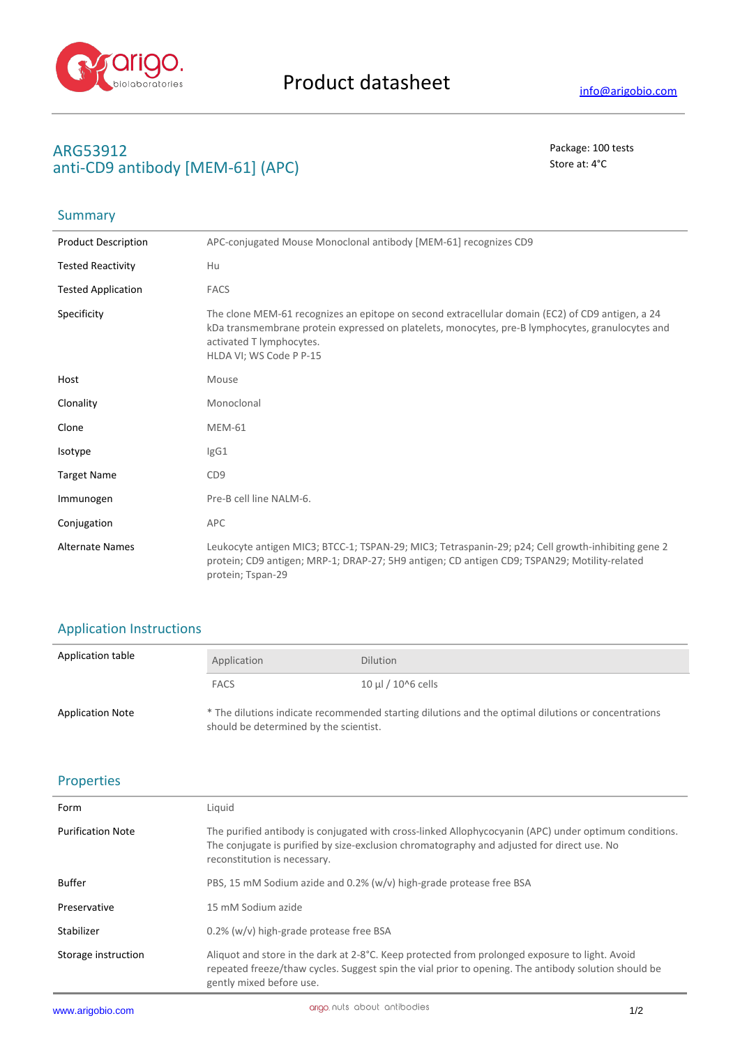

# **ARG53912** Package: 100 tests **anti-CD9 antibody [MEM-61] (APC)** Store at: 4°C

# Summary

| <b>Product Description</b> | APC-conjugated Mouse Monoclonal antibody [MEM-61] recognizes CD9                                                                                                                                                                                            |
|----------------------------|-------------------------------------------------------------------------------------------------------------------------------------------------------------------------------------------------------------------------------------------------------------|
| <b>Tested Reactivity</b>   | Hu                                                                                                                                                                                                                                                          |
| <b>Tested Application</b>  | <b>FACS</b>                                                                                                                                                                                                                                                 |
| Specificity                | The clone MEM-61 recognizes an epitope on second extracellular domain (EC2) of CD9 antigen, a 24<br>kDa transmembrane protein expressed on platelets, monocytes, pre-B lymphocytes, granulocytes and<br>activated T lymphocytes.<br>HLDA VI; WS Code P P-15 |
| Host                       | Mouse                                                                                                                                                                                                                                                       |
| Clonality                  | Monoclonal                                                                                                                                                                                                                                                  |
| Clone                      | <b>MEM-61</b>                                                                                                                                                                                                                                               |
| Isotype                    | lgG1                                                                                                                                                                                                                                                        |
| <b>Target Name</b>         | CD <sub>9</sub>                                                                                                                                                                                                                                             |
| Immunogen                  | Pre-B cell line NALM-6.                                                                                                                                                                                                                                     |
| Conjugation                | <b>APC</b>                                                                                                                                                                                                                                                  |
| <b>Alternate Names</b>     | Leukocyte antigen MIC3; BTCC-1; TSPAN-29; MIC3; Tetraspanin-29; p24; Cell growth-inhibiting gene 2<br>protein; CD9 antigen; MRP-1; DRAP-27; 5H9 antigen; CD antigen CD9; TSPAN29; Motility-related<br>protein; Tspan-29                                     |

## Application Instructions

| Application table       | Application                            | <b>Dilution</b>                                                                                     |
|-------------------------|----------------------------------------|-----------------------------------------------------------------------------------------------------|
|                         | <b>FACS</b>                            | 10 µl $/$ 10^6 cells                                                                                |
| <b>Application Note</b> | should be determined by the scientist. | * The dilutions indicate recommended starting dilutions and the optimal dilutions or concentrations |

### Properties

l,

| Form                     | Liquid                                                                                                                                                                                                                              |
|--------------------------|-------------------------------------------------------------------------------------------------------------------------------------------------------------------------------------------------------------------------------------|
| <b>Purification Note</b> | The purified antibody is conjugated with cross-linked Allophycocyanin (APC) under optimum conditions.<br>The conjugate is purified by size-exclusion chromatography and adjusted for direct use. No<br>reconstitution is necessary. |
| Buffer                   | PBS, 15 mM Sodium azide and 0.2% (w/v) high-grade protease free BSA                                                                                                                                                                 |
| Preservative             | 15 mM Sodium azide                                                                                                                                                                                                                  |
| Stabilizer               | $0.2\%$ (w/v) high-grade protease free BSA                                                                                                                                                                                          |
| Storage instruction      | Aliquot and store in the dark at 2-8°C. Keep protected from prolonged exposure to light. Avoid<br>repeated freeze/thaw cycles. Suggest spin the vial prior to opening. The antibody solution should be<br>gently mixed before use.  |
|                          |                                                                                                                                                                                                                                     |